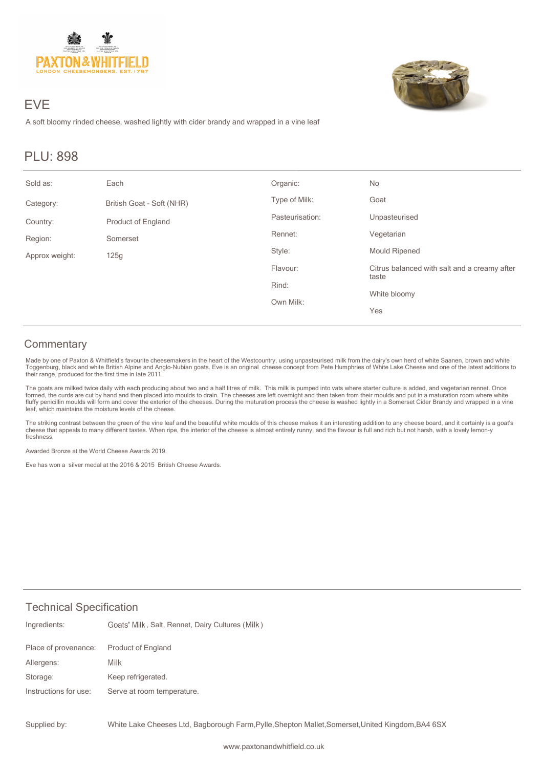

# EVE

A soft bloomy rinded cheese, washed lightly with cider brandy and wrapped in a vine leaf

## PLU: 898

| Sold as:       | Each                      | Organic:        | No                                                    |
|----------------|---------------------------|-----------------|-------------------------------------------------------|
| Category:      | British Goat - Soft (NHR) | Type of Milk:   | Goat                                                  |
| Country:       | <b>Product of England</b> | Pasteurisation: | Unpasteurised                                         |
| Region:        | Somerset                  | Rennet:         | Vegetarian                                            |
| Approx weight: | 125g                      | Style:          | <b>Mould Ripened</b>                                  |
|                |                           | Flavour:        | Citrus balanced with salt and a creamy after<br>taste |
|                |                           | Rind:           |                                                       |
|                |                           | Own Milk:       | White bloomy                                          |
|                |                           |                 | Yes                                                   |

### **Commentary**

Made by one of Paxton & Whitfield's favourite cheesemakers in the heart of the Westcountry, using unpasteurised milk from the dairy's own herd of white Saanen, brown and white<br>Toggenburg, black and white British Alpine and their range, produced for the first time in late 2011.

The goats are milked twice daily with each producing about two and a half litres of milk. This milk is pumped into vats where starter culture is added, and vegetarian rennet. Once formed, the curds are cut by hand and then placed into moulds to drain. The cheeses are left overnight and then taken from their moulds and put in a maturation room where white<br>fluffy penicillin moulds will form and cover leaf, which maintains the moisture levels of the cheese.

The striking contrast between the green of the vine leaf and the beautiful white moulds of this cheese makes it an interesting addition to any cheese board, and it certainly is a goat's cheese that appeals to many different tastes. When ripe, the interior of the cheese is almost entirely runny, and the flavour is full and rich but not harsh, with a lovely lemon-y freshness.

Awarded Bronze at the World Cheese Awards 2019.

Eve has won a silver medal at the 2016 & 2015 British Cheese Awards.

#### Technical Specification

| Ingredients:          | Goats' Milk, Salt, Rennet, Dairy Cultures (Milk) |
|-----------------------|--------------------------------------------------|
| Place of provenance:  | <b>Product of England</b>                        |
| Allergens:            | Milk                                             |
| Storage:              | Keep refrigerated.                               |
| Instructions for use: | Serve at room temperature.                       |
|                       |                                                  |

White Lake Cheeses Ltd, Bagborough Farm,Pylle,Shepton Mallet,Somerset,United Kingdom,BA4 6SX Supplied by: